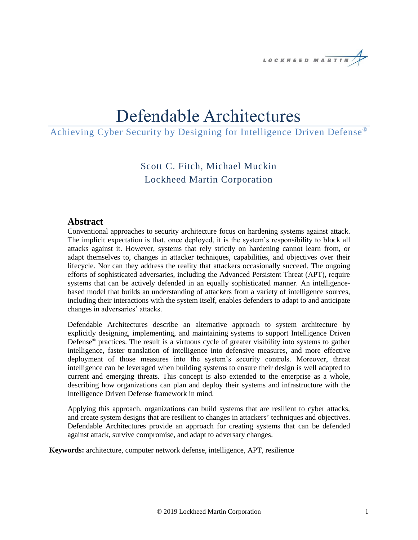

# Defendable Architectures

# Achieving Cyber Security by Designing for Intelligence Driven Defense®

Scott C. Fitch, Michael Muckin Lockheed Martin Corporation

#### **Abstract**

Conventional approaches to security architecture focus on hardening systems against attack. The implicit expectation is that, once deployed, it is the system's responsibility to block all attacks against it. However, systems that rely strictly on hardening cannot learn from, or adapt themselves to, changes in attacker techniques, capabilities, and objectives over their lifecycle. Nor can they address the reality that attackers occasionally succeed. The ongoing efforts of sophisticated adversaries, including the Advanced Persistent Threat (APT), require systems that can be actively defended in an equally sophisticated manner. An intelligencebased model that builds an understanding of attackers from a variety of intelligence sources, including their interactions with the system itself, enables defenders to adapt to and anticipate changes in adversaries' attacks.

Defendable Architectures describe an alternative approach to system architecture by explicitly designing, implementing, and maintaining systems to support Intelligence Driven Defense® practices. The result is a virtuous cycle of greater visibility into systems to gather intelligence, faster translation of intelligence into defensive measures, and more effective deployment of those measures into the system's security controls. Moreover, threat intelligence can be leveraged when building systems to ensure their design is well adapted to current and emerging threats. This concept is also extended to the enterprise as a whole, describing how organizations can plan and deploy their systems and infrastructure with the Intelligence Driven Defense framework in mind.

Applying this approach, organizations can build systems that are resilient to cyber attacks, and create system designs that are resilient to changes in attackers' techniques and objectives. Defendable Architectures provide an approach for creating systems that can be defended against attack, survive compromise, and adapt to adversary changes.

**Keywords:** architecture, computer network defense, intelligence, APT, resilience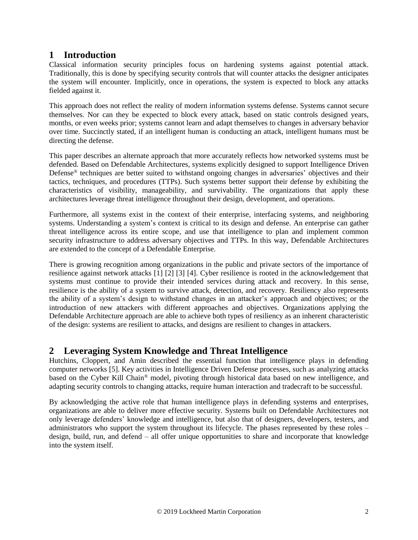# **1 Introduction**

Classical information security principles focus on hardening systems against potential attack. Traditionally, this is done by specifying security controls that will counter attacks the designer anticipates the system will encounter. Implicitly, once in operations, the system is expected to block any attacks fielded against it.

This approach does not reflect the reality of modern information systems defense. Systems cannot secure themselves. Nor can they be expected to block every attack, based on static controls designed years, months, or even weeks prior; systems cannot learn and adapt themselves to changes in adversary behavior over time. Succinctly stated, if an intelligent human is conducting an attack, intelligent humans must be directing the defense.

This paper describes an alternate approach that more accurately reflects how networked systems must be defended. Based on Defendable Architectures, systems explicitly designed to support Intelligence Driven Defense® techniques are better suited to withstand ongoing changes in adversaries' objectives and their tactics, techniques, and procedures (TTPs). Such systems better support their defense by exhibiting the characteristics of visibility, manageability, and survivability. The organizations that apply these architectures leverage threat intelligence throughout their design, development, and operations.

Furthermore, all systems exist in the context of their enterprise, interfacing systems, and neighboring systems. Understanding a system's context is critical to its design and defense. An enterprise can gather threat intelligence across its entire scope, and use that intelligence to plan and implement common security infrastructure to address adversary objectives and TTPs. In this way, Defendable Architectures are extended to the concept of a Defendable Enterprise.

There is growing recognition among organizations in the public and private sectors of the importance of resilience against network attacks [1] [2] [3] [4]. Cyber resilience is rooted in the acknowledgement that systems must continue to provide their intended services during attack and recovery. In this sense, resilience is the ability of a system to survive attack, detection, and recovery. Resiliency also represents the ability of a system's design to withstand changes in an attacker's approach and objectives; or the introduction of new attackers with different approaches and objectives. Organizations applying the Defendable Architecture approach are able to achieve both types of resiliency as an inherent characteristic of the design: systems are resilient to attacks, and designs are resilient to changes in attackers.

# **2 Leveraging System Knowledge and Threat Intelligence**

Hutchins, Cloppert, and Amin described the essential function that intelligence plays in defending computer networks [5]. Key activities in Intelligence Driven Defense processes, such as analyzing attacks based on the Cyber Kill Chain® model, pivoting through historical data based on new intelligence, and adapting security controls to changing attacks, require human interaction and tradecraft to be successful.

By acknowledging the active role that human intelligence plays in defending systems and enterprises, organizations are able to deliver more effective security. Systems built on Defendable Architectures not only leverage defenders' knowledge and intelligence, but also that of designers, developers, testers, and administrators who support the system throughout its lifecycle. The phases represented by these roles – design, build, run, and defend – all offer unique opportunities to share and incorporate that knowledge into the system itself.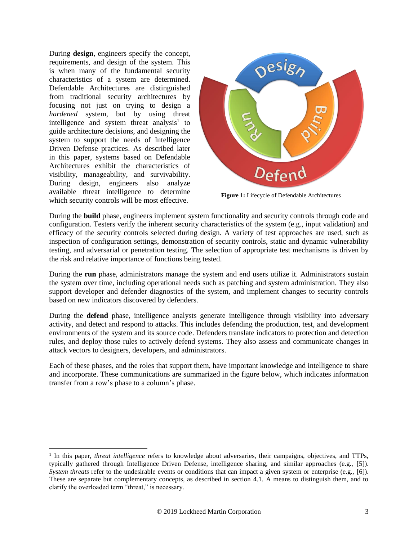During **design**, engineers specify the concept, requirements, and design of the system. This is when many of the fundamental security characteristics of a system are determined. Defendable Architectures are distinguished from traditional security architectures by focusing not just on trying to design a *hardened* system, but by using threat intelligence and system threat analysis<sup>1</sup> to guide architecture decisions, and designing the system to support the needs of Intelligence Driven Defense practices. As described later in this paper, systems based on Defendable Architectures exhibit the characteristics of visibility, manageability, and survivability. During design, engineers also analyze available threat intelligence to determine which security controls will be most effective.

 $\overline{a}$ 



**Figure 1:** Lifecycle of Defendable Architectures

During the **build** phase, engineers implement system functionality and security controls through code and configuration. Testers verify the inherent security characteristics of the system (e.g., input validation) and efficacy of the security controls selected during design. A variety of test approaches are used, such as inspection of configuration settings, demonstration of security controls, static and dynamic vulnerability testing, and adversarial or penetration testing. The selection of appropriate test mechanisms is driven by the risk and relative importance of functions being tested.

During the **run** phase, administrators manage the system and end users utilize it. Administrators sustain the system over time, including operational needs such as patching and system administration. They also support developer and defender diagnostics of the system, and implement changes to security controls based on new indicators discovered by defenders.

During the **defend** phase, intelligence analysts generate intelligence through visibility into adversary activity, and detect and respond to attacks. This includes defending the production, test, and development environments of the system and its source code. Defenders translate indicators to protection and detection rules, and deploy those rules to actively defend systems. They also assess and communicate changes in attack vectors to designers, developers, and administrators.

Each of these phases, and the roles that support them, have important knowledge and intelligence to share and incorporate. These communications are summarized in the figure below, which indicates information transfer from a row's phase to a column's phase.

<sup>&</sup>lt;sup>1</sup> In this paper, *threat intelligence* refers to knowledge about adversaries, their campaigns, objectives, and TTPs, typically gathered through Intelligence Driven Defense, intelligence sharing, and similar approaches (e.g., [5]). *System threats* refer to the undesirable events or conditions that can impact a given system or enterprise (e.g., [6]). These are separate but complementary concepts, as described in section [4.1.](#page-6-0) A means to distinguish them, and to clarify the overloaded term "threat," is necessary.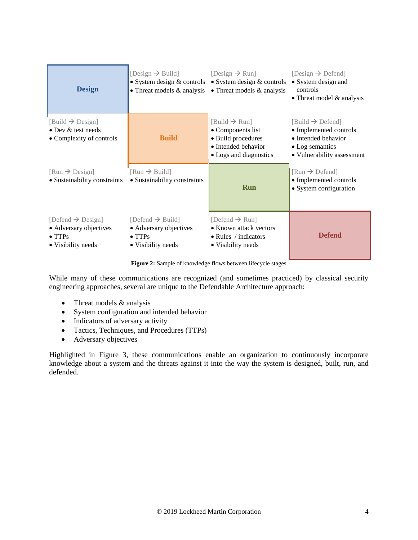| <b>Design</b>                                                                                   | [Design $\rightarrow$ Build]<br>• System design $&$ controls<br>• Threat models $\&$ analysis  | [Design $\rightarrow$ Run]<br>$\bullet$ System design & controls<br>• Threat models $&$ analysis                      | [Design $\rightarrow$ Defend]<br>• System design and<br>controls<br>• Threat model $&$ analysis                                |
|-------------------------------------------------------------------------------------------------|------------------------------------------------------------------------------------------------|-----------------------------------------------------------------------------------------------------------------------|--------------------------------------------------------------------------------------------------------------------------------|
| $[Build \rightarrow Design]$<br>• Dev & test needs<br>• Complexity of controls                  | <b>Build</b>                                                                                   | $[Build \rightarrow Run]$<br>• Components list<br>· Build procedures<br>• Intended behavior<br>• Logs and diagnostics | $[Build \rightarrow Defend]$<br>• Implemented controls<br>• Intended behavior<br>• Log semantics<br>• Vulnerability assessment |
| $\lceil \text{Run} \rightarrow \text{Design} \rceil$<br>• Sustainability constraints            | $\left[\text{Run} \rightarrow \text{Build}\right]$<br>• Sustainability constraints             | <b>Run</b>                                                                                                            | $\lceil \text{Run} \rightarrow \text{Defend} \rceil$<br>• Implemented controls<br>• System configuration                       |
| [Defend $\rightarrow$ Design]<br>• Adversary objectives<br>$\bullet$ TTPs<br>• Visibility needs | [Defend $\rightarrow$ Build]<br>• Adversary objectives<br>$\bullet$ TTPs<br>• Visibility needs | [Defend $\rightarrow$ Run]<br>• Known attack vectors<br>$\bullet$ Rules / indicators<br>• Visibility needs            | <b>Defend</b>                                                                                                                  |

**Figure 2:** Sample of knowledge flows between lifecycle stages

While many of these communications are recognized (and sometimes practiced) by classical security engineering approaches, several are unique to the Defendable Architecture approach:

- Threat models & analysis
- System configuration and intended behavior
- Indicators of adversary activity
- Tactics, Techniques, and Procedures (TTPs)
- Adversary objectives

Highlighted in [Figure 3,](#page-4-0) these communications enable an organization to continuously incorporate knowledge about a system and the threats against it into the way the system is designed, built, run, and defended.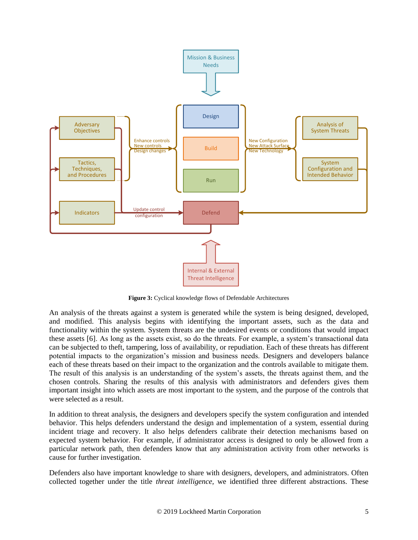

**Figure 3:** Cyclical knowledge flows of Defendable Architectures

<span id="page-4-0"></span>An analysis of the threats against a system is generated while the system is being designed, developed, and modified. This analysis begins with identifying the important assets, such as the data and functionality within the system. System threats are the undesired events or conditions that would impact these assets [6]. As long as the assets exist, so do the threats. For example, a system's transactional data can be subjected to theft, tampering, loss of availability, or repudiation. Each of these threats has different potential impacts to the organization's mission and business needs. Designers and developers balance each of these threats based on their impact to the organization and the controls available to mitigate them. The result of this analysis is an understanding of the system's assets, the threats against them, and the chosen controls. Sharing the results of this analysis with administrators and defenders gives them important insight into which assets are most important to the system, and the purpose of the controls that were selected as a result.

In addition to threat analysis, the designers and developers specify the system configuration and intended behavior. This helps defenders understand the design and implementation of a system, essential during incident triage and recovery. It also helps defenders calibrate their detection mechanisms based on expected system behavior. For example, if administrator access is designed to only be allowed from a particular network path, then defenders know that any administration activity from other networks is cause for further investigation.

Defenders also have important knowledge to share with designers, developers, and administrators. Often collected together under the title *threat intelligence,* we identified three different abstractions. These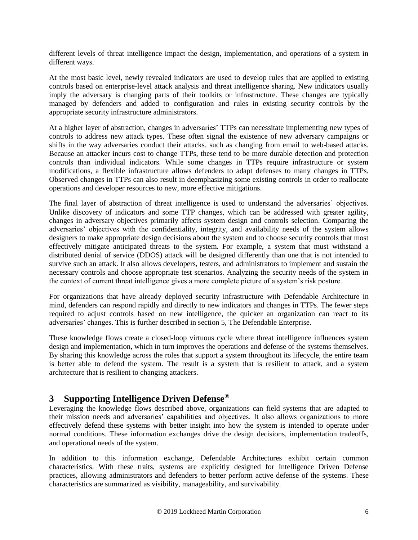different levels of threat intelligence impact the design, implementation, and operations of a system in different ways.

At the most basic level, newly revealed indicators are used to develop rules that are applied to existing controls based on enterprise-level attack analysis and threat intelligence sharing. New indicators usually imply the adversary is changing parts of their toolkits or infrastructure. These changes are typically managed by defenders and added to configuration and rules in existing security controls by the appropriate security infrastructure administrators.

At a higher layer of abstraction, changes in adversaries' TTPs can necessitate implementing new types of controls to address new attack types. These often signal the existence of new adversary campaigns or shifts in the way adversaries conduct their attacks, such as changing from email to web-based attacks. Because an attacker incurs cost to change TTPs, these tend to be more durable detection and protection controls than individual indicators. While some changes in TTPs require infrastructure or system modifications, a flexible infrastructure allows defenders to adapt defenses to many changes in TTPs. Observed changes in TTPs can also result in deemphasizing some existing controls in order to reallocate operations and developer resources to new, more effective mitigations.

The final layer of abstraction of threat intelligence is used to understand the adversaries' objectives. Unlike discovery of indicators and some TTP changes, which can be addressed with greater agility, changes in adversary objectives primarily affects system design and controls selection. Comparing the adversaries' objectives with the confidentiality, integrity, and availability needs of the system allows designers to make appropriate design decisions about the system and to choose security controls that most effectively mitigate anticipated threats to the system. For example, a system that must withstand a distributed denial of service (DDOS) attack will be designed differently than one that is not intended to survive such an attack. It also allows developers, testers, and administrators to implement and sustain the necessary controls and choose appropriate test scenarios. Analyzing the security needs of the system in the context of current threat intelligence gives a more complete picture of a system's risk posture.

For organizations that have already deployed security infrastructure with Defendable Architecture in mind, defenders can respond rapidly and directly to new indicators and changes in TTPs. The fewer steps required to adjust controls based on new intelligence, the quicker an organization can react to its adversaries' changes. This is further described in section [5, The Defendable Enterprise.](#page-17-0)

These knowledge flows create a closed-loop virtuous cycle where threat intelligence influences system design and implementation, which in turn improves the operations and defense of the systems themselves. By sharing this knowledge across the roles that support a system throughout its lifecycle, the entire team is better able to defend the system. The result is a system that is resilient to attack, and a system architecture that is resilient to changing attackers.

# <span id="page-5-0"></span>**3 Supporting Intelligence Driven Defense®**

Leveraging the knowledge flows described above, organizations can field systems that are adapted to their mission needs and adversaries' capabilities and objectives. It also allows organizations to more effectively defend these systems with better insight into how the system is intended to operate under normal conditions. These information exchanges drive the design decisions, implementation tradeoffs, and operational needs of the system.

In addition to this information exchange, Defendable Architectures exhibit certain common characteristics. With these traits, systems are explicitly designed for Intelligence Driven Defense practices, allowing administrators and defenders to better perform active defense of the systems. These characteristics are summarized as visibility, manageability, and survivability.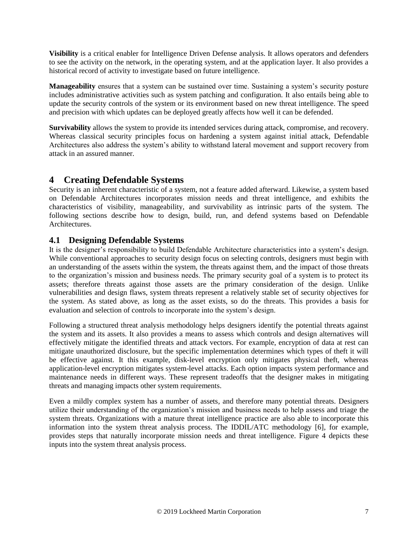**Visibility** is a critical enabler for Intelligence Driven Defense analysis. It allows operators and defenders to see the activity on the network, in the operating system, and at the application layer. It also provides a historical record of activity to investigate based on future intelligence.

**Manageability** ensures that a system can be sustained over time. Sustaining a system's security posture includes administrative activities such as system patching and configuration. It also entails being able to update the security controls of the system or its environment based on new threat intelligence. The speed and precision with which updates can be deployed greatly affects how well it can be defended.

**Survivability** allows the system to provide its intended services during attack, compromise, and recovery. Whereas classical security principles focus on hardening a system against initial attack, Defendable Architectures also address the system's ability to withstand lateral movement and support recovery from attack in an assured manner.

# **4 Creating Defendable Systems**

Security is an inherent characteristic of a system, not a feature added afterward. Likewise, a system based on Defendable Architectures incorporates mission needs and threat intelligence, and exhibits the characteristics of visibility, manageability, and survivability as intrinsic parts of the system. The following sections describe how to design, build, run, and defend systems based on Defendable Architectures.

## <span id="page-6-0"></span>**4.1 Designing Defendable Systems**

It is the designer's responsibility to build Defendable Architecture characteristics into a system's design. While conventional approaches to security design focus on selecting controls, designers must begin with an understanding of the assets within the system, the threats against them, and the impact of those threats to the organization's mission and business needs. The primary security goal of a system is to protect its assets; therefore threats against those assets are the primary consideration of the design. Unlike vulnerabilities and design flaws, system threats represent a relatively stable set of security objectives for the system. As stated above, as long as the asset exists, so do the threats. This provides a basis for evaluation and selection of controls to incorporate into the system's design.

Following a structured threat analysis methodology helps designers identify the potential threats against the system and its assets. It also provides a means to assess which controls and design alternatives will effectively mitigate the identified threats and attack vectors. For example, encryption of data at rest can mitigate unauthorized disclosure, but the specific implementation determines which types of theft it will be effective against. It this example, disk-level encryption only mitigates physical theft, whereas application-level encryption mitigates system-level attacks. Each option impacts system performance and maintenance needs in different ways. These represent tradeoffs that the designer makes in mitigating threats and managing impacts other system requirements.

Even a mildly complex system has a number of assets, and therefore many potential threats. Designers utilize their understanding of the organization's mission and business needs to help assess and triage the system threats. Organizations with a mature threat intelligence practice are also able to incorporate this information into the system threat analysis process. The IDDIL/ATC methodology [6], for example, provides steps that naturally incorporate mission needs and threat intelligence. [Figure 4](#page-7-0) depicts these inputs into the system threat analysis process.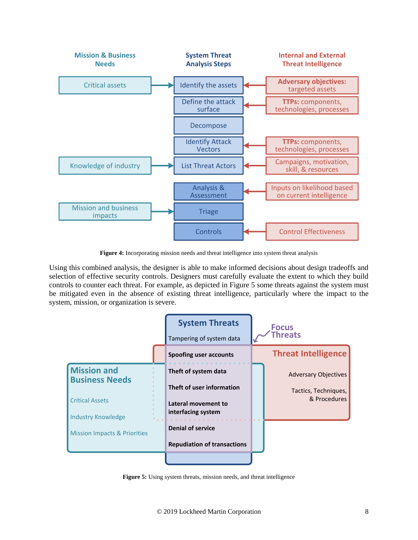

**Figure 4:** Incorporating mission needs and threat intelligence into system threat analysis

<span id="page-7-0"></span>Using this combined analysis, the designer is able to make informed decisions about design tradeoffs and selection of effective security controls. Designers must carefully evaluate the extent to which they build controls to counter each threat. For example, as depicted in [Figure 5](#page-7-1) some threats against the system must be mitigated even in the absence of existing threat intelligence, particularly where the impact to the system, mission, or organization is severe.



<span id="page-7-1"></span>**Figure 5:** Using system threats, mission needs, and threat intelligence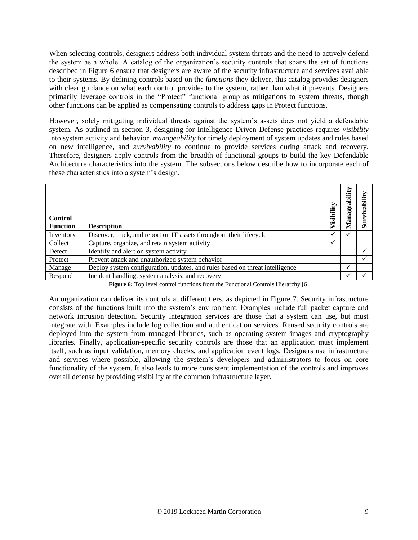When selecting controls, designers address both individual system threats and the need to actively defend the system as a whole. A catalog of the organization's security controls that spans the set of functions described in [Figure 6](#page-8-0) ensure that designers are aware of the security infrastructure and services available to their systems. By defining controls based on the *functions* they deliver, this catalog provides designers with clear guidance on what each control provides to the system, rather than what it prevents. Designers primarily leverage controls in the "Protect" functional group as mitigations to system threats, though other functions can be applied as compensating controls to address gaps in Protect functions.

However, solely mitigating individual threats against the system's assets does not yield a defendable system. As outlined in section [3,](#page-5-0) designing for Intelligence Driven Defense practices requires *visibility* into system activity and behavior, *manageability* for timely deployment of system updates and rules based on new intelligence, and *survivability* to continue to provide services during attack and recovery. Therefore, designers apply controls from the breadth of functional groups to build the key Defendable Architecture characteristics into the system. The subsections below describe how to incorporate each of these characteristics into a system's design.

| <b>Control</b><br><b>Function</b> | <b>Description</b>                                                           | Visibility | ility<br>eab<br>ă | jii |
|-----------------------------------|------------------------------------------------------------------------------|------------|-------------------|-----|
| Inventory                         | Discover, track, and report on IT assets throughout their lifecycle          |            |                   |     |
| Collect                           | Capture, organize, and retain system activity                                | ✓          |                   |     |
| Detect                            | Identify and alert on system activity                                        |            |                   |     |
| Protect                           | Prevent attack and unauthorized system behavior                              |            |                   |     |
| Manage                            | Deploy system configuration, updates, and rules based on threat intelligence |            |                   |     |
| Respond                           | Incident handling, system analysis, and recovery                             |            |                   |     |

**Figure 6:** Top level control functions from the Functional Controls Hierarchy [6]

<span id="page-8-0"></span>An organization can deliver its controls at different tiers, as depicted in [Figure 7.](#page-9-0) Security infrastructure consists of the functions built into the system's environment. Examples include full packet capture and network intrusion detection. Security integration services are those that a system can use, but must integrate with. Examples include log collection and authentication services. Reused security controls are deployed into the system from managed libraries, such as operating system images and cryptography libraries. Finally, application-specific security controls are those that an application must implement itself, such as input validation, memory checks, and application event logs. Designers use infrastructure and services where possible, allowing the system's developers and administrators to focus on core functionality of the system. It also leads to more consistent implementation of the controls and improves overall defense by providing visibility at the common infrastructure layer.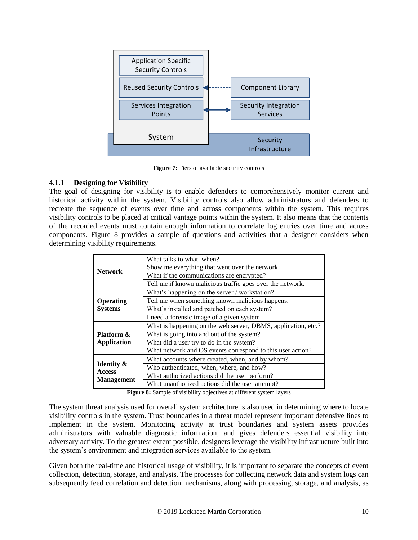

**Figure 7:** Tiers of available security controls

#### <span id="page-9-0"></span>**4.1.1 Designing for Visibility**

The goal of designing for visibility is to enable defenders to comprehensively monitor current and historical activity within the system. Visibility controls also allow administrators and defenders to recreate the sequence of events over time and across components within the system. This requires visibility controls to be placed at critical vantage points within the system. It also means that the contents of the recorded events must contain enough information to correlate log entries over time and across components. [Figure 8](#page-9-1) provides a sample of questions and activities that a designer considers when determining visibility requirements.

| <b>Network</b>                                              | What talks to what, when?                                     |
|-------------------------------------------------------------|---------------------------------------------------------------|
|                                                             | Show me everything that went over the network.                |
|                                                             | What if the communications are encrypted?                     |
|                                                             | Tell me if known malicious traffic goes over the network.     |
|                                                             | What's happening on the server / workstation?                 |
| Operating<br><b>Systems</b>                                 | Tell me when something known malicious happens.               |
|                                                             | What's installed and patched on each system?                  |
|                                                             | I need a forensic image of a given system.                    |
| Platform &<br><b>Application</b>                            | What is happening on the web server, DBMS, application, etc.? |
|                                                             | What is going into and out of the system?                     |
|                                                             | What did a user try to do in the system?                      |
|                                                             | What network and OS events correspond to this user action?    |
| <b>Identity &amp;</b><br><b>Access</b><br><b>Management</b> | What accounts where created, when, and by whom?               |
|                                                             | Who authenticated, when, where, and how?                      |
|                                                             | What authorized actions did the user perform?                 |
|                                                             | What unauthorized actions did the user attempt?               |

**Figure 8:** Sample of visibility objectives at different system layers

<span id="page-9-1"></span>The system threat analysis used for overall system architecture is also used in determining where to locate visibility controls in the system. Trust boundaries in a threat model represent important defensive lines to implement in the system. Monitoring activity at trust boundaries and system assets provides administrators with valuable diagnostic information, and gives defenders essential visibility into adversary activity. To the greatest extent possible, designers leverage the visibility infrastructure built into the system's environment and integration services available to the system.

Given both the real-time and historical usage of visibility, it is important to separate the concepts of event collection, detection, storage, and analysis. The processes for collecting network data and system logs can subsequently feed correlation and detection mechanisms, along with processing, storage, and analysis, as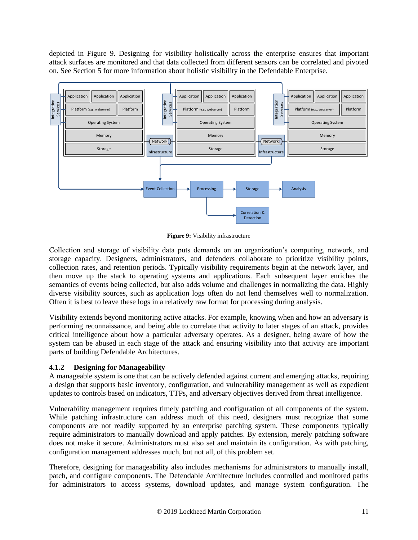depicted in [Figure 9.](#page-10-0) Designing for visibility holistically across the enterprise ensures that important attack surfaces are monitored and that data collected from different sensors can be correlated and pivoted on. See Section [5](#page-17-0) for more information about holistic visibility in the Defendable Enterprise.



**Figure 9:** Visibility infrastructure

<span id="page-10-0"></span>Collection and storage of visibility data puts demands on an organization's computing, network, and storage capacity. Designers, administrators, and defenders collaborate to prioritize visibility points, collection rates, and retention periods. Typically visibility requirements begin at the network layer, and then move up the stack to operating systems and applications. Each subsequent layer enriches the semantics of events being collected, but also adds volume and challenges in normalizing the data. Highly diverse visibility sources, such as application logs often do not lend themselves well to normalization. Often it is best to leave these logs in a relatively raw format for processing during analysis.

Visibility extends beyond monitoring active attacks. For example, knowing when and how an adversary is performing reconnaissance, and being able to correlate that activity to later stages of an attack, provides critical intelligence about how a particular adversary operates. As a designer, being aware of how the system can be abused in each stage of the attack and ensuring visibility into that activity are important parts of building Defendable Architectures.

#### **4.1.2 Designing for Manageability**

A manageable system is one that can be actively defended against current and emerging attacks, requiring a design that supports basic inventory, configuration, and vulnerability management as well as expedient updates to controls based on indicators, TTPs, and adversary objectives derived from threat intelligence.

Vulnerability management requires timely patching and configuration of all components of the system. While patching infrastructure can address much of this need, designers must recognize that some components are not readily supported by an enterprise patching system. These components typically require administrators to manually download and apply patches. By extension, merely patching software does not make it secure. Administrators must also set and maintain its configuration. As with patching, configuration management addresses much, but not all, of this problem set.

Therefore, designing for manageability also includes mechanisms for administrators to manually install, patch, and configure components. The Defendable Architecture includes controlled and monitored paths for administrators to access systems, download updates, and manage system configuration. The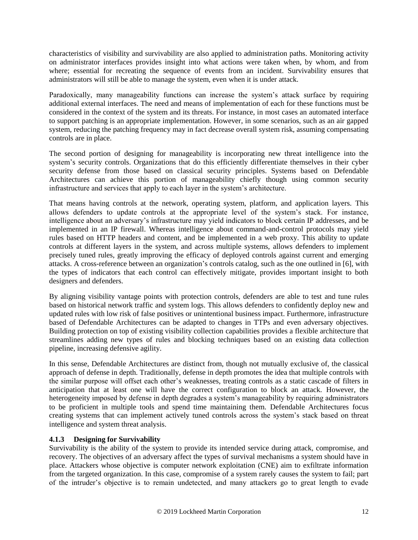characteristics of visibility and survivability are also applied to administration paths. Monitoring activity on administrator interfaces provides insight into what actions were taken when, by whom, and from where; essential for recreating the sequence of events from an incident. Survivability ensures that administrators will still be able to manage the system, even when it is under attack.

Paradoxically, many manageability functions can increase the system's attack surface by requiring additional external interfaces. The need and means of implementation of each for these functions must be considered in the context of the system and its threats. For instance, in most cases an automated interface to support patching is an appropriate implementation. However, in some scenarios, such as an air gapped system, reducing the patching frequency may in fact decrease overall system risk, assuming compensating controls are in place.

The second portion of designing for manageability is incorporating new threat intelligence into the system's security controls. Organizations that do this efficiently differentiate themselves in their cyber security defense from those based on classical security principles. Systems based on Defendable Architectures can achieve this portion of manageability chiefly though using common security infrastructure and services that apply to each layer in the system's architecture.

That means having controls at the network, operating system, platform, and application layers. This allows defenders to update controls at the appropriate level of the system's stack. For instance, intelligence about an adversary's infrastructure may yield indicators to block certain IP addresses, and be implemented in an IP firewall. Whereas intelligence about command-and-control protocols may yield rules based on HTTP headers and content, and be implemented in a web proxy. This ability to update controls at different layers in the system, and across multiple systems, allows defenders to implement precisely tuned rules, greatly improving the efficacy of deployed controls against current and emerging attacks. A cross-reference between an organization's controls catalog, such as the one outlined in [6], with the types of indicators that each control can effectively mitigate, provides important insight to both designers and defenders.

By aligning visibility vantage points with protection controls, defenders are able to test and tune rules based on historical network traffic and system logs. This allows defenders to confidently deploy new and updated rules with low risk of false positives or unintentional business impact. Furthermore, infrastructure based of Defendable Architectures can be adapted to changes in TTPs and even adversary objectives. Building protection on top of existing visibility collection capabilities provides a flexible architecture that streamlines adding new types of rules and blocking techniques based on an existing data collection pipeline, increasing defensive agility.

In this sense, Defendable Architectures are distinct from, though not mutually exclusive of, the classical approach of defense in depth. Traditionally, defense in depth promotes the idea that multiple controls with the similar purpose will offset each other's weaknesses, treating controls as a static cascade of filters in anticipation that at least one will have the correct configuration to block an attack. However, the heterogeneity imposed by defense in depth degrades a system's manageability by requiring administrators to be proficient in multiple tools and spend time maintaining them. Defendable Architectures focus creating systems that can implement actively tuned controls across the system's stack based on threat intelligence and system threat analysis.

#### **4.1.3 Designing for Survivability**

Survivability is the ability of the system to provide its intended service during attack, compromise, and recovery. The objectives of an adversary affect the types of survival mechanisms a system should have in place. Attackers whose objective is computer network exploitation (CNE) aim to exfiltrate information from the targeted organization. In this case, compromise of a system rarely causes the system to fail; part of the intruder's objective is to remain undetected, and many attackers go to great length to evade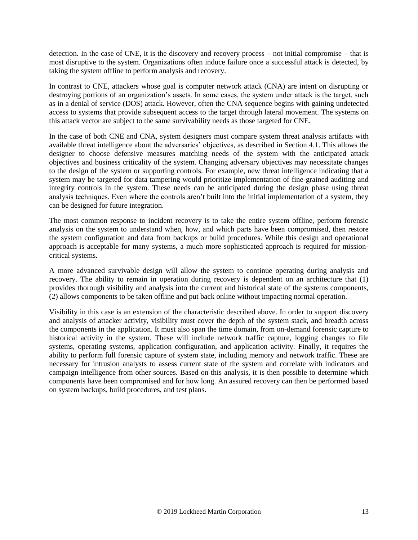detection. In the case of CNE, it is the discovery and recovery process – not initial compromise – that is most disruptive to the system. Organizations often induce failure once a successful attack is detected, by taking the system offline to perform analysis and recovery.

In contrast to CNE, attackers whose goal is computer network attack (CNA) are intent on disrupting or destroying portions of an organization's assets. In some cases, the system under attack is the target, such as in a denial of service (DOS) attack. However, often the CNA sequence begins with gaining undetected access to systems that provide subsequent access to the target through lateral movement. The systems on this attack vector are subject to the same survivability needs as those targeted for CNE.

In the case of both CNE and CNA, system designers must compare system threat analysis artifacts with available threat intelligence about the adversaries' objectives, as described in Section [4.1.](#page-6-0) This allows the designer to choose defensive measures matching needs of the system with the anticipated attack objectives and business criticality of the system. Changing adversary objectives may necessitate changes to the design of the system or supporting controls. For example, new threat intelligence indicating that a system may be targeted for data tampering would prioritize implementation of fine-grained auditing and integrity controls in the system. These needs can be anticipated during the design phase using threat analysis techniques. Even where the controls aren't built into the initial implementation of a system, they can be designed for future integration.

The most common response to incident recovery is to take the entire system offline, perform forensic analysis on the system to understand when, how, and which parts have been compromised, then restore the system configuration and data from backups or build procedures. While this design and operational approach is acceptable for many systems, a much more sophisticated approach is required for missioncritical systems.

A more advanced survivable design will allow the system to continue operating during analysis and recovery. The ability to remain in operation during recovery is dependent on an architecture that (1) provides thorough visibility and analysis into the current and historical state of the systems components, (2) allows components to be taken offline and put back online without impacting normal operation.

Visibility in this case is an extension of the characteristic described above. In order to support discovery and analysis of attacker activity, visibility must cover the depth of the system stack, and breadth across the components in the application. It must also span the time domain, from on-demand forensic capture to historical activity in the system. These will include network traffic capture, logging changes to file systems, operating systems, application configuration, and application activity. Finally, it requires the ability to perform full forensic capture of system state, including memory and network traffic. These are necessary for intrusion analysts to assess current state of the system and correlate with indicators and campaign intelligence from other sources. Based on this analysis, it is then possible to determine which components have been compromised and for how long. An assured recovery can then be performed based on system backups, build procedures, and test plans.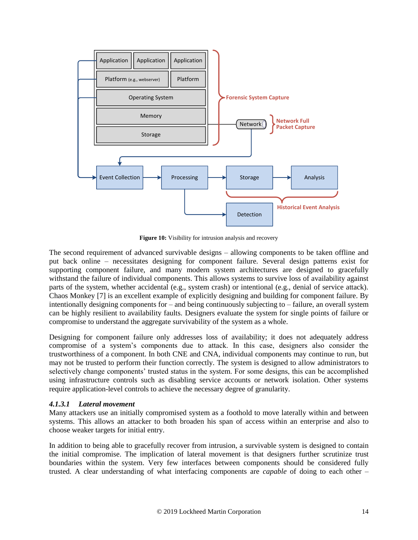

**Figure 10:** Visibility for intrusion analysis and recovery

The second requirement of advanced survivable designs – allowing components to be taken offline and put back online – necessitates designing for component failure. Several design patterns exist for supporting component failure, and many modern system architectures are designed to gracefully withstand the failure of individual components. This allows systems to survive loss of availability against parts of the system, whether accidental (e.g., system crash) or intentional (e.g., denial of service attack). Chaos Monkey [7] is an excellent example of explicitly designing and building for component failure. By intentionally designing components for – and being continuously subjecting to – failure, an overall system can be highly resilient to availability faults. Designers evaluate the system for single points of failure or compromise to understand the aggregate survivability of the system as a whole.

Designing for component failure only addresses loss of availability; it does not adequately address compromise of a system's components due to attack. In this case, designers also consider the trustworthiness of a component. In both CNE and CNA, individual components may continue to run, but may not be trusted to perform their function correctly. The system is designed to allow administrators to selectively change components' trusted status in the system. For some designs, this can be accomplished using infrastructure controls such as disabling service accounts or network isolation. Other systems require application-level controls to achieve the necessary degree of granularity.

#### *4.1.3.1 Lateral movement*

Many attackers use an initially compromised system as a foothold to move laterally within and between systems. This allows an attacker to both broaden his span of access within an enterprise and also to choose weaker targets for initial entry.

In addition to being able to gracefully recover from intrusion, a survivable system is designed to contain the initial compromise. The implication of lateral movement is that designers further scrutinize trust boundaries within the system. Very few interfaces between components should be considered fully trusted. A clear understanding of what interfacing components are *capable* of doing to each other –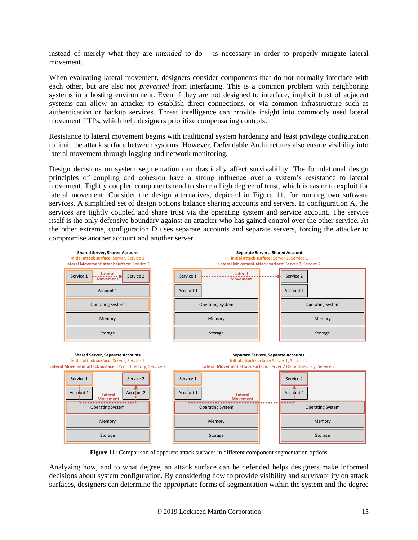instead of merely what they are *intended* to do – is necessary in order to properly mitigate lateral movement.

When evaluating lateral movement, designers consider components that do not normally interface with each other, but are also not *prevented* from interfacing. This is a common problem with neighboring systems in a hosting environment. Even if they are not designed to interface, implicit trust of adjacent systems can allow an attacker to establish direct connections, or via common infrastructure such as authentication or backup services. Threat intelligence can provide insight into commonly used lateral movement TTPs, which help designers prioritize compensating controls.

Resistance to lateral movement begins with traditional system hardening and least privilege configuration to limit the attack surface between systems. However, Defendable Architectures also ensure visibility into lateral movement through logging and network monitoring.

Design decisions on system segmentation can drastically affect survivability. The foundational design principles of coupling and cohesion have a strong influence over a system's resistance to lateral movement. Tightly coupled components tend to share a high degree of trust, which is easier to exploit for lateral movement. Consider the design alternatives, depicted in [Figure 11,](#page-14-0) for running two software services. A simplified set of design options balance sharing accounts and servers. In configuration A, the services are tightly coupled and share trust via the operating system and service account. The service itself is the only defensive boundary against an attacker who has gained control over the other service. At the other extreme, configuration D uses separate accounts and separate servers, forcing the attacker to compromise another account and another server.



**Figure 11:** Comparison of apparent attack surfaces in different component segmentation options

<span id="page-14-0"></span>Analyzing how, and to what degree, an attack surface can be defended helps designers make informed decisions about system configuration. By considering how to provide visibility and survivability on attack surfaces, designers can determine the appropriate forms of segmentation within the system and the degree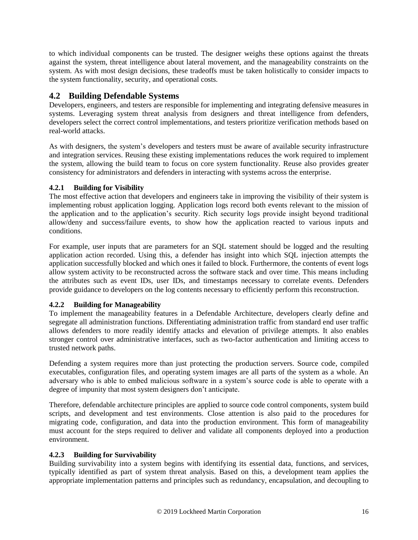to which individual components can be trusted. The designer weighs these options against the threats against the system, threat intelligence about lateral movement, and the manageability constraints on the system. As with most design decisions, these tradeoffs must be taken holistically to consider impacts to the system functionality, security, and operational costs.

## **4.2 Building Defendable Systems**

Developers, engineers, and testers are responsible for implementing and integrating defensive measures in systems. Leveraging system threat analysis from designers and threat intelligence from defenders, developers select the correct control implementations, and testers prioritize verification methods based on real-world attacks.

As with designers, the system's developers and testers must be aware of available security infrastructure and integration services. Reusing these existing implementations reduces the work required to implement the system, allowing the build team to focus on core system functionality. Reuse also provides greater consistency for administrators and defenders in interacting with systems across the enterprise.

### **4.2.1 Building for Visibility**

The most effective action that developers and engineers take in improving the visibility of their system is implementing robust application logging. Application logs record both events relevant to the mission of the application and to the application's security. Rich security logs provide insight beyond traditional allow/deny and success/failure events, to show how the application reacted to various inputs and conditions.

For example, user inputs that are parameters for an SQL statement should be logged and the resulting application action recorded. Using this, a defender has insight into which SQL injection attempts the application successfully blocked and which ones it failed to block. Furthermore, the contents of event logs allow system activity to be reconstructed across the software stack and over time. This means including the attributes such as event IDs, user IDs, and timestamps necessary to correlate events. Defenders provide guidance to developers on the log contents necessary to efficiently perform this reconstruction.

## **4.2.2 Building for Manageability**

To implement the manageability features in a Defendable Architecture, developers clearly define and segregate all administration functions. Differentiating administration traffic from standard end user traffic allows defenders to more readily identify attacks and elevation of privilege attempts. It also enables stronger control over administrative interfaces, such as two-factor authentication and limiting access to trusted network paths.

Defending a system requires more than just protecting the production servers. Source code, compiled executables, configuration files, and operating system images are all parts of the system as a whole. An adversary who is able to embed malicious software in a system's source code is able to operate with a degree of impunity that most system designers don't anticipate.

Therefore, defendable architecture principles are applied to source code control components, system build scripts, and development and test environments. Close attention is also paid to the procedures for migrating code, configuration, and data into the production environment. This form of manageability must account for the steps required to deliver and validate all components deployed into a production environment.

#### **4.2.3 Building for Survivability**

Building survivability into a system begins with identifying its essential data, functions, and services, typically identified as part of system threat analysis. Based on this, a development team applies the appropriate implementation patterns and principles such as redundancy, encapsulation, and decoupling to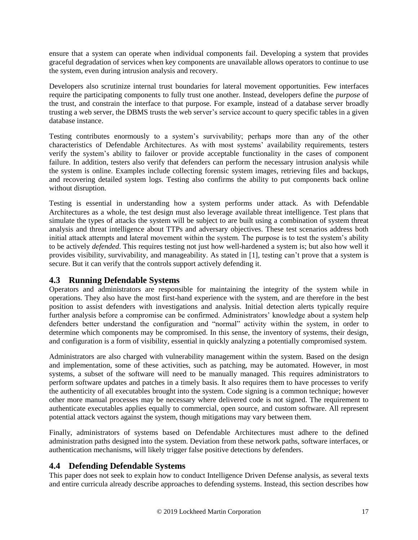ensure that a system can operate when individual components fail. Developing a system that provides graceful degradation of services when key components are unavailable allows operators to continue to use the system, even during intrusion analysis and recovery.

Developers also scrutinize internal trust boundaries for lateral movement opportunities. Few interfaces require the participating components to fully trust one another. Instead, developers define the *purpose* of the trust, and constrain the interface to that purpose. For example, instead of a database server broadly trusting a web server, the DBMS trusts the web server's service account to query specific tables in a given database instance.

Testing contributes enormously to a system's survivability; perhaps more than any of the other characteristics of Defendable Architectures. As with most systems' availability requirements, testers verify the system's ability to failover or provide acceptable functionality in the cases of component failure. In addition, testers also verify that defenders can perform the necessary intrusion analysis while the system is online. Examples include collecting forensic system images, retrieving files and backups, and recovering detailed system logs. Testing also confirms the ability to put components back online without disruption.

Testing is essential in understanding how a system performs under attack. As with Defendable Architectures as a whole, the test design must also leverage available threat intelligence. Test plans that simulate the types of attacks the system will be subject to are built using a combination of system threat analysis and threat intelligence about TTPs and adversary objectives. These test scenarios address both initial attack attempts and lateral movement within the system. The purpose is to test the system's ability to be actively *defended*. This requires testing not just how well-hardened a system is; but also how well it provides visibility, survivability, and manageability. As stated in [1], testing can't prove that a system is secure. But it can verify that the controls support actively defending it.

## **4.3 Running Defendable Systems**

Operators and administrators are responsible for maintaining the integrity of the system while in operations. They also have the most first-hand experience with the system, and are therefore in the best position to assist defenders with investigations and analysis. Initial detection alerts typically require further analysis before a compromise can be confirmed. Administrators' knowledge about a system help defenders better understand the configuration and "normal" activity within the system, in order to determine which components may be compromised. In this sense, the inventory of systems, their design, and configuration is a form of visibility, essential in quickly analyzing a potentially compromised system.

Administrators are also charged with vulnerability management within the system. Based on the design and implementation, some of these activities, such as patching, may be automated. However, in most systems, a subset of the software will need to be manually managed. This requires administrators to perform software updates and patches in a timely basis. It also requires them to have processes to verify the authenticity of all executables brought into the system. Code signing is a common technique; however other more manual processes may be necessary where delivered code is not signed. The requirement to authenticate executables applies equally to commercial, open source, and custom software. All represent potential attack vectors against the system, though mitigations may vary between them.

Finally, administrators of systems based on Defendable Architectures must adhere to the defined administration paths designed into the system. Deviation from these network paths, software interfaces, or authentication mechanisms, will likely trigger false positive detections by defenders.

## **4.4 Defending Defendable Systems**

This paper does not seek to explain how to conduct Intelligence Driven Defense analysis, as several texts and entire curricula already describe approaches to defending systems. Instead, this section describes how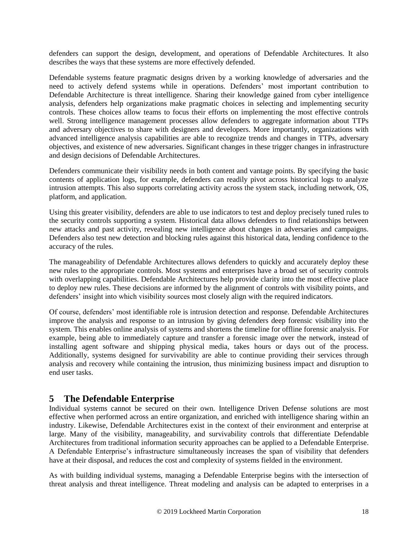defenders can support the design, development, and operations of Defendable Architectures. It also describes the ways that these systems are more effectively defended.

Defendable systems feature pragmatic designs driven by a working knowledge of adversaries and the need to actively defend systems while in operations. Defenders' most important contribution to Defendable Architecture is threat intelligence. Sharing their knowledge gained from cyber intelligence analysis, defenders help organizations make pragmatic choices in selecting and implementing security controls. These choices allow teams to focus their efforts on implementing the most effective controls well. Strong intelligence management processes allow defenders to aggregate information about TTPs and adversary objectives to share with designers and developers. More importantly, organizations with advanced intelligence analysis capabilities are able to recognize trends and changes in TTPs, adversary objectives, and existence of new adversaries. Significant changes in these trigger changes in infrastructure and design decisions of Defendable Architectures.

Defenders communicate their visibility needs in both content and vantage points. By specifying the basic contents of application logs, for example, defenders can readily pivot across historical logs to analyze intrusion attempts. This also supports correlating activity across the system stack, including network, OS, platform, and application.

Using this greater visibility, defenders are able to use indicators to test and deploy precisely tuned rules to the security controls supporting a system. Historical data allows defenders to find relationships between new attacks and past activity, revealing new intelligence about changes in adversaries and campaigns. Defenders also test new detection and blocking rules against this historical data, lending confidence to the accuracy of the rules.

The manageability of Defendable Architectures allows defenders to quickly and accurately deploy these new rules to the appropriate controls. Most systems and enterprises have a broad set of security controls with overlapping capabilities. Defendable Architectures help provide clarity into the most effective place to deploy new rules. These decisions are informed by the alignment of controls with visibility points, and defenders' insight into which visibility sources most closely align with the required indicators.

Of course, defenders' most identifiable role is intrusion detection and response. Defendable Architectures improve the analysis and response to an intrusion by giving defenders deep forensic visibility into the system. This enables online analysis of systems and shortens the timeline for offline forensic analysis. For example, being able to immediately capture and transfer a forensic image over the network, instead of installing agent software and shipping physical media, takes hours or days out of the process. Additionally, systems designed for survivability are able to continue providing their services through analysis and recovery while containing the intrusion, thus minimizing business impact and disruption to end user tasks.

# <span id="page-17-0"></span>**5 The Defendable Enterprise**

Individual systems cannot be secured on their own. Intelligence Driven Defense solutions are most effective when performed across an entire organization, and enriched with intelligence sharing within an industry. Likewise, Defendable Architectures exist in the context of their environment and enterprise at large. Many of the visibility, manageability, and survivability controls that differentiate Defendable Architectures from traditional information security approaches can be applied to a Defendable Enterprise. A Defendable Enterprise's infrastructure simultaneously increases the span of visibility that defenders have at their disposal, and reduces the cost and complexity of systems fielded in the environment.

As with building individual systems, managing a Defendable Enterprise begins with the intersection of threat analysis and threat intelligence. Threat modeling and analysis can be adapted to enterprises in a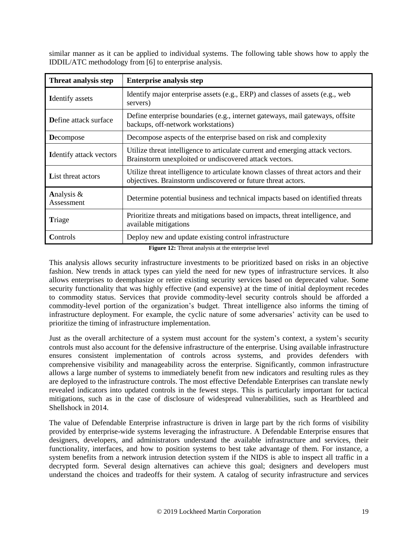similar manner as it can be applied to individual systems. The following table shows how to apply the IDDIL/ATC methodology from [6] to enterprise analysis.

| Threat analysis step           | <b>Enterprise analysis step</b>                                                                                                                    |
|--------------------------------|----------------------------------------------------------------------------------------------------------------------------------------------------|
| <b>Identify</b> assets         | Identify major enterprise assets (e.g., ERP) and classes of assets (e.g., web<br>servers)                                                          |
| <b>D</b> efine attack surface  | Define enterprise boundaries (e.g., internet gateways, mail gateways, offsite<br>backups, off-network workstations)                                |
| <b>D</b> ecompose              | Decompose aspects of the enterprise based on risk and complexity                                                                                   |
| <b>Identify attack vectors</b> | Utilize threat intelligence to articulate current and emerging attack vectors.<br>Brainstorm unexploited or undiscovered attack vectors.           |
| <b>List threat actors</b>      | Utilize threat intelligence to articulate known classes of threat actors and their<br>objectives. Brainstorm undiscovered or future threat actors. |
| Analysis &<br>Assessment       | Determine potential business and technical impacts based on identified threats                                                                     |
| Triage                         | Prioritize threats and mitigations based on impacts, threat intelligence, and<br>available mitigations                                             |
| Controls                       | Deploy new and update existing control infrastructure                                                                                              |

**Figure 12:** Threat analysis at the enterprise level

This analysis allows security infrastructure investments to be prioritized based on risks in an objective fashion. New trends in attack types can yield the need for new types of infrastructure services. It also allows enterprises to deemphasize or retire existing security services based on deprecated value. Some security functionality that was highly effective (and expensive) at the time of initial deployment recedes to commodity status. Services that provide commodity-level security controls should be afforded a commodity-level portion of the organization's budget. Threat intelligence also informs the timing of infrastructure deployment. For example, the cyclic nature of some adversaries' activity can be used to prioritize the timing of infrastructure implementation.

Just as the overall architecture of a system must account for the system's context, a system's security controls must also account for the defensive infrastructure of the enterprise. Using available infrastructure ensures consistent implementation of controls across systems, and provides defenders with comprehensive visibility and manageability across the enterprise. Significantly, common infrastructure allows a large number of systems to immediately benefit from new indicators and resulting rules as they are deployed to the infrastructure controls. The most effective Defendable Enterprises can translate newly revealed indicators into updated controls in the fewest steps. This is particularly important for tactical mitigations, such as in the case of disclosure of widespread vulnerabilities, such as Heartbleed and Shellshock in 2014.

The value of Defendable Enterprise infrastructure is driven in large part by the rich forms of visibility provided by enterprise-wide systems leveraging the infrastructure. A Defendable Enterprise ensures that designers, developers, and administrators understand the available infrastructure and services, their functionality, interfaces, and how to position systems to best take advantage of them. For instance, a system benefits from a network intrusion detection system if the NIDS is able to inspect all traffic in a decrypted form. Several design alternatives can achieve this goal; designers and developers must understand the choices and tradeoffs for their system. A catalog of security infrastructure and services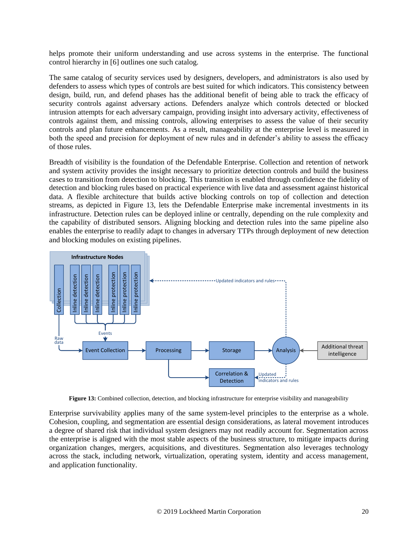helps promote their uniform understanding and use across systems in the enterprise. The functional control hierarchy in [6] outlines one such catalog.

The same catalog of security services used by designers, developers, and administrators is also used by defenders to assess which types of controls are best suited for which indicators. This consistency between design, build, run, and defend phases has the additional benefit of being able to track the efficacy of security controls against adversary actions. Defenders analyze which controls detected or blocked intrusion attempts for each adversary campaign, providing insight into adversary activity, effectiveness of controls against them, and missing controls, allowing enterprises to assess the value of their security controls and plan future enhancements. As a result, manageability at the enterprise level is measured in both the speed and precision for deployment of new rules and in defender's ability to assess the efficacy of those rules.

Breadth of visibility is the foundation of the Defendable Enterprise. Collection and retention of network and system activity provides the insight necessary to prioritize detection controls and build the business cases to transition from detection to blocking. This transition is enabled through confidence the fidelity of detection and blocking rules based on practical experience with live data and assessment against historical data. A flexible architecture that builds active blocking controls on top of collection and detection streams, as depicted in [Figure 13,](#page-19-0) lets the Defendable Enterprise make incremental investments in its infrastructure. Detection rules can be deployed inline or centrally, depending on the rule complexity and the capability of distributed sensors. Aligning blocking and detection rules into the same pipeline also enables the enterprise to readily adapt to changes in adversary TTPs through deployment of new detection and blocking modules on existing pipelines.



**Figure 13:** Combined collection, detection, and blocking infrastructure for enterprise visibility and manageability

<span id="page-19-0"></span>Enterprise survivability applies many of the same system-level principles to the enterprise as a whole. Cohesion, coupling, and segmentation are essential design considerations, as lateral movement introduces a degree of shared risk that individual system designers may not readily account for. Segmentation across the enterprise is aligned with the most stable aspects of the business structure, to mitigate impacts during organization changes, mergers, acquisitions, and divestitures. Segmentation also leverages technology across the stack, including network, virtualization, operating system, identity and access management, and application functionality.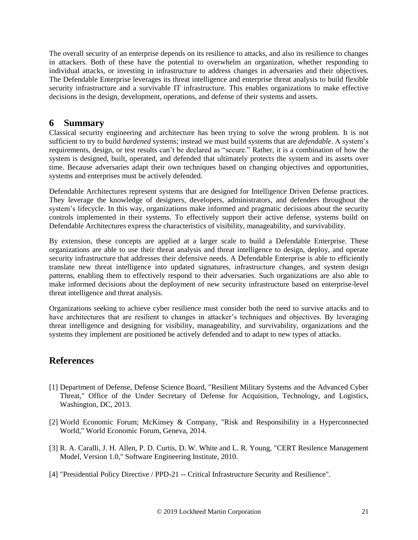The overall security of an enterprise depends on its resilience to attacks, and also its resilience to changes in attackers. Both of these have the potential to overwhelm an organization, whether responding to individual attacks, or investing in infrastructure to address changes in adversaries and their objectives. The Defendable Enterprise leverages its threat intelligence and enterprise threat analysis to build flexible security infrastructure and a survivable IT infrastructure. This enables organizations to make effective decisions in the design, development, operations, and defense of their systems and assets.

## **6 Summary**

Classical security engineering and architecture has been trying to solve the wrong problem. It is not sufficient to try to build *hardened* systems; instead we must build systems that are *defendable*. A system's requirements, design, or test results can't be declared as "secure." Rather, it is a combination of how the system is designed, built, operated, and defended that ultimately protects the system and its assets over time. Because adversaries adapt their own techniques based on changing objectives and opportunities, systems and enterprises must be actively defended.

Defendable Architectures represent systems that are designed for Intelligence Driven Defense practices. They leverage the knowledge of designers, developers, administrators, and defenders throughout the system's lifecycle. In this way, organizations make informed and pragmatic decisions about the security controls implemented in their systems. To effectively support their active defense, systems build on Defendable Architectures express the characteristics of visibility, manageability, and survivability.

By extension, these concepts are applied at a larger scale to build a Defendable Enterprise. These organizations are able to use their threat analysis and threat intelligence to design, deploy, and operate security infrastructure that addresses their defensive needs. A Defendable Enterprise is able to efficiently translate new threat intelligence into updated signatures, infrastructure changes, and system design patterns, enabling them to effectively respond to their adversaries. Such organizations are also able to make informed decisions about the deployment of new security infrastructure based on enterprise-level threat intelligence and threat analysis.

Organizations seeking to achieve cyber resilience must consider both the need to survive attacks and to have architectures that are resilient to changes in attacker's techniques and objectives. By leveraging threat intelligence and designing for visibility, manageability, and survivability, organizations and the systems they implement are positioned be actively defended and to adapt to new types of attacks.

# **References**

- [1] Department of Defense, Defense Science Board, "Resilient Military Systems and the Advanced Cyber Threat," Office of the Under Secretary of Defense for Acquisition, Technology, and Logistics, Washington, DC, 2013.
- [2] World Economic Forum; McKinsey & Company, "Risk and Responsibility in a Hyperconnected World," World Economic Forum, Geneva, 2014.
- [3] R. A. Caralli, J. H. Allen, P. D. Curtis, D. W. White and L. R. Young, "CERT Resilence Management Model, Version 1.0," Software Engineering Institute, 2010.
- [4] "Presidential Policy Directive / PPD-21 -- Critical Infrastructure Security and Resilience".